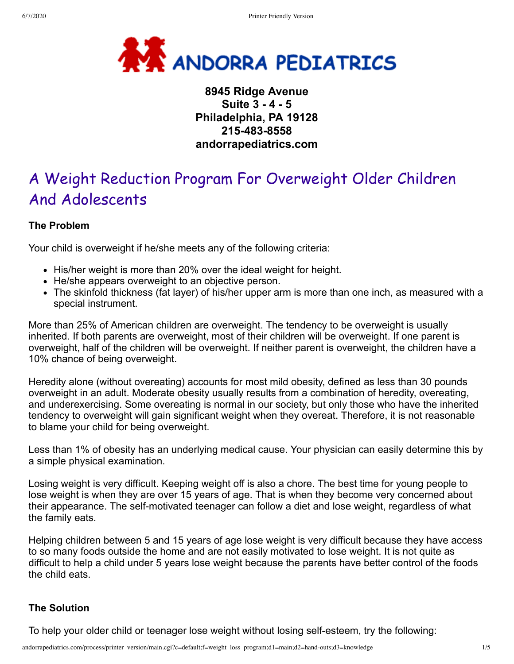

# **8945 Ridge Avenue Suite 3 - 4 - 5 Philadelphia, PA 19128 215-483-8558 andorrapediatrics.com**

# A Weight Reduction Program For Overweight Older Children And Adolescents

# **The Problem**

Your child is overweight if he/she meets any of the following criteria:

- His/her weight is more than 20% over the ideal weight for height.
- He/she appears overweight to an objective person.
- The skinfold thickness (fat layer) of his/her upper arm is more than one inch, as measured with a special instrument.

More than 25% of American children are overweight. The tendency to be overweight is usually inherited. If both parents are overweight, most of their children will be overweight. If one parent is overweight, half of the children will be overweight. If neither parent is overweight, the children have a 10% chance of being overweight.

Heredity alone (without overeating) accounts for most mild obesity, defined as less than 30 pounds overweight in an adult. Moderate obesity usually results from a combination of heredity, overeating, and underexercising. Some overeating is normal in our society, but only those who have the inherited tendency to overweight will gain significant weight when they overeat. Therefore, it is not reasonable to blame your child for being overweight.

Less than 1% of obesity has an underlying medical cause. Your physician can easily determine this by a simple physical examination.

Losing weight is very difficult. Keeping weight off is also a chore. The best time for young people to lose weight is when they are over 15 years of age. That is when they become very concerned about their appearance. The self-motivated teenager can follow a diet and lose weight, regardless of what the family eats.

Helping children between 5 and 15 years of age lose weight is very difficult because they have access to so many foods outside the home and are not easily motivated to lose weight. It is not quite as difficult to help a child under 5 years lose weight because the parents have better control of the foods the child eats.

## **The Solution**

To help your older child or teenager lose weight without losing self-esteem, try the following: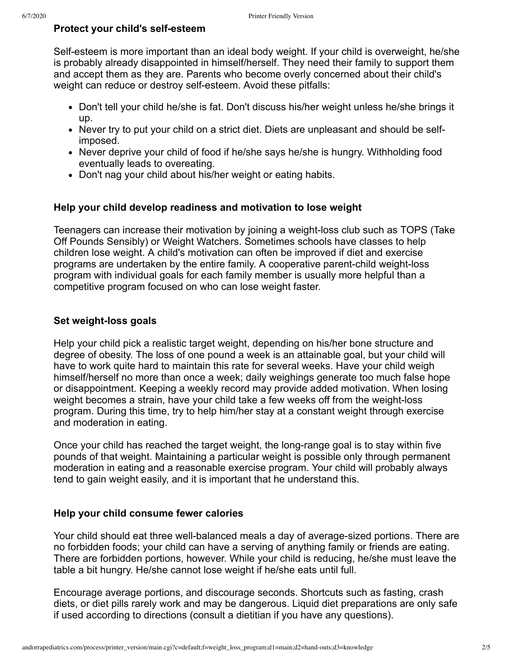#### **Protect your child's self-esteem**

Self-esteem is more important than an ideal body weight. If your child is overweight, he/she is probably already disappointed in himself/herself. They need their family to support them and accept them as they are. Parents who become overly concerned about their child's weight can reduce or destroy self-esteem. Avoid these pitfalls:

- Don't tell your child he/she is fat. Don't discuss his/her weight unless he/she brings it up.
- Never try to put your child on a strict diet. Diets are unpleasant and should be selfimposed.
- Never deprive your child of food if he/she says he/she is hungry. Withholding food eventually leads to overeating.
- Don't nag your child about his/her weight or eating habits.

#### **Help your child develop readiness and motivation to lose weight**

Teenagers can increase their motivation by joining a weight-loss club such as TOPS (Take Off Pounds Sensibly) or Weight Watchers. Sometimes schools have classes to help children lose weight. A child's motivation can often be improved if diet and exercise programs are undertaken by the entire family. A cooperative parent-child weight-loss program with individual goals for each family member is usually more helpful than a competitive program focused on who can lose weight faster.

#### **Set weight-loss goals**

Help your child pick a realistic target weight, depending on his/her bone structure and degree of obesity. The loss of one pound a week is an attainable goal, but your child will have to work quite hard to maintain this rate for several weeks. Have your child weigh himself/herself no more than once a week; daily weighings generate too much false hope or disappointment. Keeping a weekly record may provide added motivation. When losing weight becomes a strain, have your child take a few weeks off from the weight-loss program. During this time, try to help him/her stay at a constant weight through exercise and moderation in eating.

Once your child has reached the target weight, the long-range goal is to stay within five pounds of that weight. Maintaining a particular weight is possible only through permanent moderation in eating and a reasonable exercise program. Your child will probably always tend to gain weight easily, and it is important that he understand this.

#### **Help your child consume fewer calories**

Your child should eat three well-balanced meals a day of average-sized portions. There are no forbidden foods; your child can have a serving of anything family or friends are eating. There are forbidden portions, however. While your child is reducing, he/she must leave the table a bit hungry. He/she cannot lose weight if he/she eats until full.

Encourage average portions, and discourage seconds. Shortcuts such as fasting, crash diets, or diet pills rarely work and may be dangerous. Liquid diet preparations are only safe if used according to directions (consult a dietitian if you have any questions).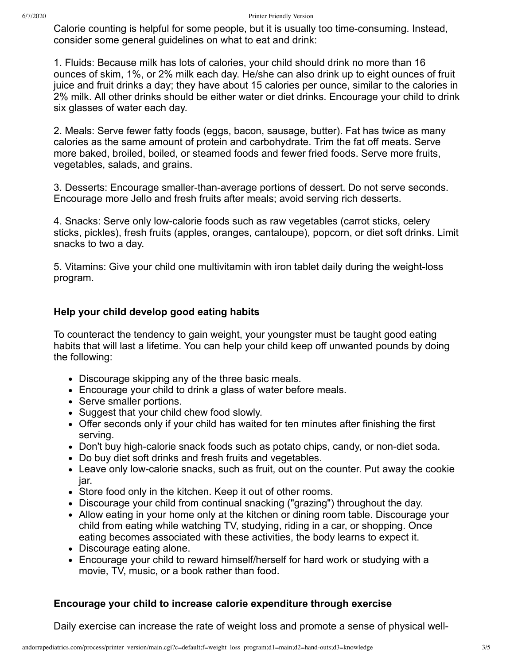Calorie counting is helpful for some people, but it is usually too time-consuming. Instead, consider some general guidelines on what to eat and drink:

1. Fluids: Because milk has lots of calories, your child should drink no more than 16 ounces of skim, 1%, or 2% milk each day. He/she can also drink up to eight ounces of fruit juice and fruit drinks a day; they have about 15 calories per ounce, similar to the calories in 2% milk. All other drinks should be either water or diet drinks. Encourage your child to drink six glasses of water each day.

2. Meals: Serve fewer fatty foods (eggs, bacon, sausage, butter). Fat has twice as many calories as the same amount of protein and carbohydrate. Trim the fat off meats. Serve more baked, broiled, boiled, or steamed foods and fewer fried foods. Serve more fruits, vegetables, salads, and grains.

3. Desserts: Encourage smaller-than-average portions of dessert. Do not serve seconds. Encourage more Jello and fresh fruits after meals; avoid serving rich desserts.

4. Snacks: Serve only low-calorie foods such as raw vegetables (carrot sticks, celery sticks, pickles), fresh fruits (apples, oranges, cantaloupe), popcorn, or diet soft drinks. Limit snacks to two a day.

5. Vitamins: Give your child one multivitamin with iron tablet daily during the weight-loss program.

## **Help your child develop good eating habits**

To counteract the tendency to gain weight, your youngster must be taught good eating habits that will last a lifetime. You can help your child keep off unwanted pounds by doing the following:

- Discourage skipping any of the three basic meals.
- Encourage your child to drink a glass of water before meals.
- Serve smaller portions.
- Suggest that your child chew food slowly.
- Offer seconds only if your child has waited for ten minutes after finishing the first serving.
- Don't buy high-calorie snack foods such as potato chips, candy, or non-diet soda.
- Do buy diet soft drinks and fresh fruits and vegetables.
- Leave only low-calorie snacks, such as fruit, out on the counter. Put away the cookie jar.
- Store food only in the kitchen. Keep it out of other rooms.
- Discourage your child from continual snacking ("grazing") throughout the day.
- Allow eating in your home only at the kitchen or dining room table. Discourage your child from eating while watching TV, studying, riding in a car, or shopping. Once eating becomes associated with these activities, the body learns to expect it.
- Discourage eating alone.
- Encourage your child to reward himself/herself for hard work or studying with a movie, TV, music, or a book rather than food.

#### **Encourage your child to increase calorie expenditure through exercise**

Daily exercise can increase the rate of weight loss and promote a sense of physical well-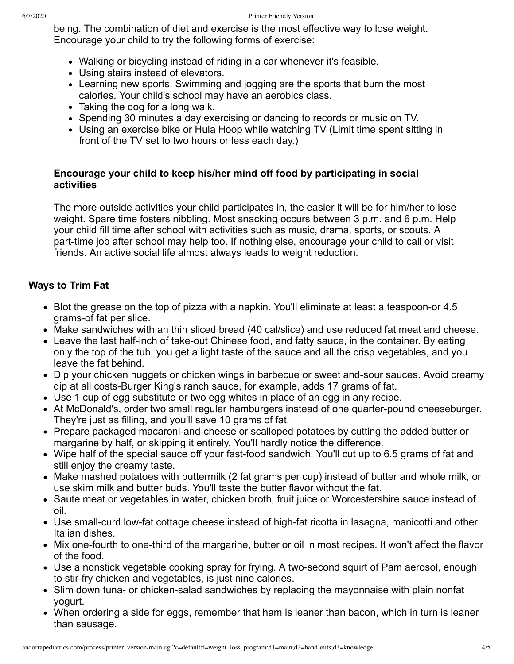being. The combination of diet and exercise is the most effective way to lose weight. Encourage your child to try the following forms of exercise:

- Walking or bicycling instead of riding in a car whenever it's feasible.
- Using stairs instead of elevators.
- Learning new sports. Swimming and jogging are the sports that burn the most calories. Your child's school may have an aerobics class.
- Taking the dog for a long walk.
- Spending 30 minutes a day exercising or dancing to records or music on TV.
- Using an exercise bike or Hula Hoop while watching TV (Limit time spent sitting in front of the TV set to two hours or less each day.)

## **Encourage your child to keep his/her mind off food by participating in social activities**

The more outside activities your child participates in, the easier it will be for him/her to lose weight. Spare time fosters nibbling. Most snacking occurs between 3 p.m. and 6 p.m. Help your child fill time after school with activities such as music, drama, sports, or scouts. A part-time job after school may help too. If nothing else, encourage your child to call or visit friends. An active social life almost always leads to weight reduction.

# **Ways to Trim Fat**

- Blot the grease on the top of pizza with a napkin. You'll eliminate at least a teaspoon-or 4.5 grams-of fat per slice.
- Make sandwiches with an thin sliced bread (40 cal/slice) and use reduced fat meat and cheese.
- Leave the last half-inch of take-out Chinese food, and fatty sauce, in the container. By eating only the top of the tub, you get a light taste of the sauce and all the crisp vegetables, and you leave the fat behind.
- Dip your chicken nuggets or chicken wings in barbecue or sweet and-sour sauces. Avoid creamy dip at all costs-Burger King's ranch sauce, for example, adds 17 grams of fat.
- Use 1 cup of egg substitute or two egg whites in place of an egg in any recipe.
- At McDonald's, order two small regular hamburgers instead of one quarter-pound cheeseburger. They're just as filling, and you'll save 10 grams of fat.
- Prepare packaged macaroni-and-cheese or scalloped potatoes by cutting the added butter or margarine by half, or skipping it entirely. You'll hardly notice the difference.
- Wipe half of the special sauce off your fast-food sandwich. You'll cut up to 6.5 grams of fat and still enjoy the creamy taste.
- Make mashed potatoes with buttermilk (2 fat grams per cup) instead of butter and whole milk, or use skim milk and butter buds. You'll taste the butter flavor without the fat.
- Saute meat or vegetables in water, chicken broth, fruit juice or Worcestershire sauce instead of oil.
- Use small-curd low-fat cottage cheese instead of high-fat ricotta in lasagna, manicotti and other Italian dishes.
- Mix one-fourth to one-third of the margarine, butter or oil in most recipes. It won't affect the flavor of the food.
- Use a nonstick vegetable cooking spray for frying. A two-second squirt of Pam aerosol, enough to stir-fry chicken and vegetables, is just nine calories.
- Slim down tuna- or chicken-salad sandwiches by replacing the mayonnaise with plain nonfat yogurt.
- When ordering a side for eggs, remember that ham is leaner than bacon, which in turn is leaner than sausage.